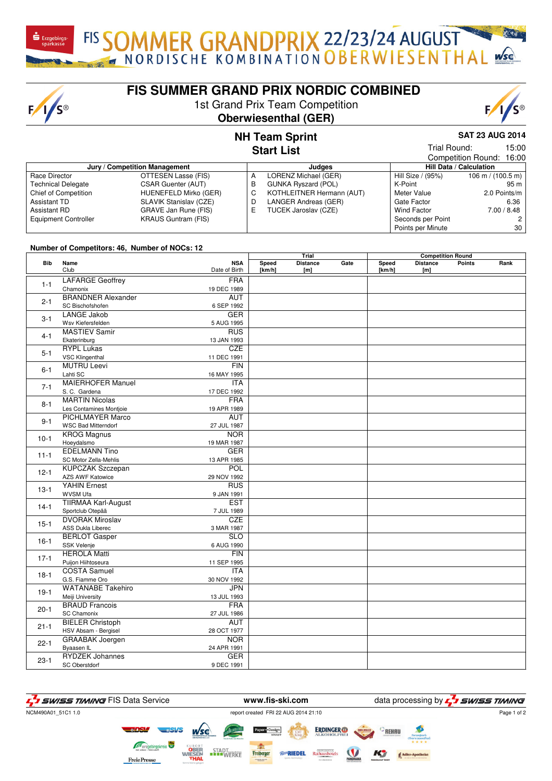$F/I/S^{\circledcirc}$ 

## **FIS SUMMER GRAND PRIX NORDIC COMBINED**

1st Grand Prix Team Competition

#### **Oberwiesenthal (GER)**

# **SAT 23 AUG 2014**

15:00

#### **NH Team Sprint Start List**

|                               |                            |   |                            |                   | Competition Round: 16:00            |  |  |
|-------------------------------|----------------------------|---|----------------------------|-------------------|-------------------------------------|--|--|
| Jury / Competition Management |                            |   | Judaes                     |                   | Hill Data / Calculation             |  |  |
| Race Director                 | OTTESEN Lasse (FIS)        | A | LORENZ Michael (GER)       | Hill Size / (95%) | $106 \text{ m} / (100.5 \text{ m})$ |  |  |
| <b>Technical Delegate</b>     | CSAR Guenter (AUT)         | в | <b>GUNKA Ryszard (POL)</b> | K-Point           | 95 m                                |  |  |
| Chief of Competition          | HUENEFELD Mirko (GER)      | C | KOTHLEITNER Hermann (AUT)  | Meter Value       | 2.0 Points/m                        |  |  |
| Assistant TD                  | SLAVIK Stanislav (CZE)     | D | LANGER Andreas (GER)       | Gate Factor       | 6.36                                |  |  |
| Assistant RD                  | GRAVE Jan Rune (FIS)       | Е | TUCEK Jaroslav (CZE)       | Wind Factor       | 7.00 / 8.48                         |  |  |
| <b>Equipment Controller</b>   | <b>KRAUS Guntram (FIS)</b> |   |                            | Seconds per Point |                                     |  |  |
|                               |                            |   |                            | Points per Minute | 30                                  |  |  |

#### **Number of Competitors: 46, Number of NOCs: 12**

|          |                                               |                                 |                 | Trial                  |      | <b>Competition Round</b> |                        |               |      |
|----------|-----------------------------------------------|---------------------------------|-----------------|------------------------|------|--------------------------|------------------------|---------------|------|
| Bib      | Name<br>Club                                  | <b>NSA</b><br>Date of Birth     | Speed<br>[km/h] | <b>Distance</b><br>[m] | Gate | <b>Speed</b><br>[km/h]   | <b>Distance</b><br>[m] | <b>Points</b> | Rank |
| $1 - 1$  | <b>LAFARGE Geoffrey</b>                       | <b>FRA</b>                      |                 |                        |      |                          |                        |               |      |
|          | Chamonix                                      | 19 DEC 1989                     |                 |                        |      |                          |                        |               |      |
| $2 - 1$  | <b>BRANDNER Alexander</b><br>SC Bischofshofen | <b>AUT</b><br>6 SEP 1992        |                 |                        |      |                          |                        |               |      |
|          | <b>LANGE Jakob</b>                            | <b>GER</b>                      |                 |                        |      |                          |                        |               |      |
| $3 - 1$  | Wsv Kiefersfelden                             | 5 AUG 1995                      |                 |                        |      |                          |                        |               |      |
|          | <b>MASTIEV Samir</b>                          | <b>RUS</b>                      |                 |                        |      |                          |                        |               |      |
| $4 - 1$  | Ekaterinburg                                  | 13 JAN 1993                     |                 |                        |      |                          |                        |               |      |
| $5-1$    | <b>RYPL Lukas</b>                             | <b>CZE</b>                      |                 |                        |      |                          |                        |               |      |
|          | <b>VSC Klingenthal</b>                        | 11 DEC 1991                     |                 |                        |      |                          |                        |               |      |
| $6 - 1$  | <b>MUTRU Leevi</b>                            | <b>FIN</b>                      |                 |                        |      |                          |                        |               |      |
|          | Lahti SC                                      | 16 MAY 1995                     |                 |                        |      |                          |                        |               |      |
| $7 - 1$  | <b>MAIERHOFER Manuel</b>                      | <b>ITA</b>                      |                 |                        |      |                          |                        |               |      |
|          | S. C. Gardena                                 | 17 DEC 1992                     |                 |                        |      |                          |                        |               |      |
| $8 - 1$  | <b>MARTIN Nicolas</b>                         | <b>FRA</b>                      |                 |                        |      |                          |                        |               |      |
|          | Les Contamines Montjoie                       | 19 APR 1989                     |                 |                        |      |                          |                        |               |      |
| $9 - 1$  | <b>PICHLMAYER Marco</b>                       | <b>AUT</b>                      |                 |                        |      |                          |                        |               |      |
|          | <b>WSC Bad Mitterndorf</b>                    | 27 JUL 1987<br><b>NOR</b>       |                 |                        |      |                          |                        |               |      |
| $10-1$   | <b>KROG Magnus</b>                            |                                 |                 |                        |      |                          |                        |               |      |
|          | Hoeydalsmo<br><b>EDELMANN Tino</b>            | 19 MAR 1987<br><b>GER</b>       |                 |                        |      |                          |                        |               |      |
| $11 - 1$ | SC Motor Zella-Mehlis                         | 13 APR 1985                     |                 |                        |      |                          |                        |               |      |
|          | <b>KUPCZAK Szczepan</b>                       | <b>POL</b>                      |                 |                        |      |                          |                        |               |      |
| $12 - 1$ | <b>AZS AWF Katowice</b>                       | 29 NOV 1992                     |                 |                        |      |                          |                        |               |      |
|          | <b>YAHIN Ernest</b>                           | <b>RUS</b>                      |                 |                        |      |                          |                        |               |      |
| $13-1$   | WVSM Ufa                                      | 9 JAN 1991                      |                 |                        |      |                          |                        |               |      |
|          | <b>TIIRMAA Karl-August</b>                    | <b>EST</b>                      |                 |                        |      |                          |                        |               |      |
| $14-1$   | Sportclub Otepää                              | 7 JUL 1989                      |                 |                        |      |                          |                        |               |      |
| $15-1$   | <b>DVORAK Miroslav</b>                        | <b>CZE</b>                      |                 |                        |      |                          |                        |               |      |
|          | <b>ASS Dukla Liberec</b>                      | 3 MAR 1987                      |                 |                        |      |                          |                        |               |      |
| $16-1$   | <b>BERLOT Gasper</b>                          | $\overline{\text{SLO}}$         |                 |                        |      |                          |                        |               |      |
|          | <b>SSK Velenje</b>                            | 6 AUG 1990                      |                 |                        |      |                          |                        |               |      |
| $17-1$   | <b>HEROLA Matti</b>                           | <b>FIN</b>                      |                 |                        |      |                          |                        |               |      |
|          | Puijon Hiihtoseura                            | 11 SEP 1995                     |                 |                        |      |                          |                        |               |      |
| $18-1$   | <b>COSTA Samuel</b><br>G.S. Fiamme Oro        | $\overline{ITA}$<br>30 NOV 1992 |                 |                        |      |                          |                        |               |      |
|          | <b>WATANABE Takehiro</b>                      | <b>JPN</b>                      |                 |                        |      |                          |                        |               |      |
| $19-1$   | Meiji University                              | 13 JUL 1993                     |                 |                        |      |                          |                        |               |      |
| $20-1$   | <b>BRAUD Francois</b><br><b>SC Chamonix</b>   | <b>FRA</b>                      |                 |                        |      |                          |                        |               |      |
|          | <b>BIELER Christoph</b>                       | 27 JUL 1986<br><b>AUT</b>       |                 |                        |      |                          |                        |               |      |
| $21 - 1$ | HSV Absam - Bergisel                          | 28 OCT 1977                     |                 |                        |      |                          |                        |               |      |
|          | <b>GRAABAK</b> Joergen                        | <b>NOR</b>                      |                 |                        |      |                          |                        |               |      |
| $22 - 1$ | Byaasen IL                                    | 24 APR 1991                     |                 |                        |      |                          |                        |               |      |
| $23-1$   | <b>RYDZEK Johannes</b>                        | <b>GER</b>                      |                 |                        |      |                          |                        |               |      |
|          | SC Oberstdorf                                 | 9 DEC 1991                      |                 |                        |      |                          |                        |               |      |



Trial Round: